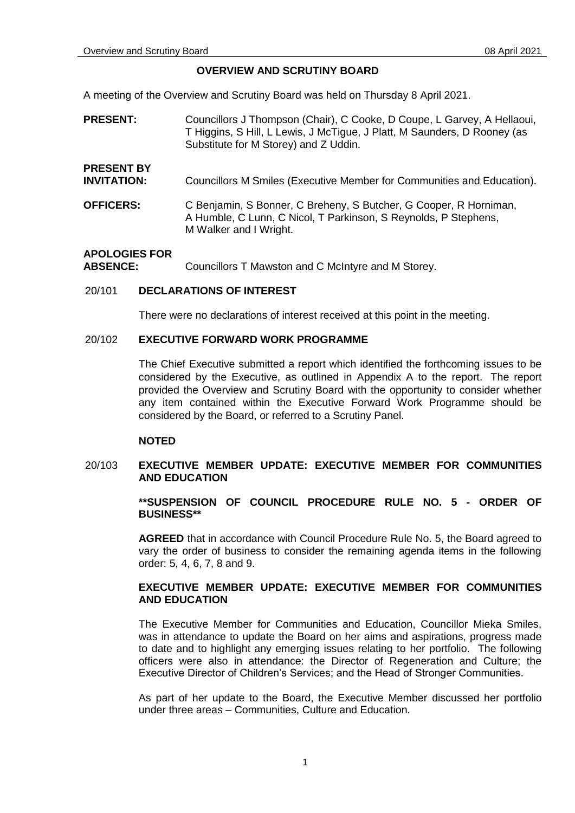#### **OVERVIEW AND SCRUTINY BOARD**

A meeting of the Overview and Scrutiny Board was held on Thursday 8 April 2021.

- **PRESENT:** Councillors J Thompson (Chair), C Cooke, D Coupe, L Garvey, A Hellaoui, T Higgins, S Hill, L Lewis, J McTigue, J Platt, M Saunders, D Rooney (as Substitute for M Storey) and Z Uddin.
- **INVITATION:** Councillors M Smiles (Executive Member for Communities and Education).
- **OFFICERS:** C Benjamin, S Bonner, C Breheny, S Butcher, G Cooper, R Horniman, A Humble, C Lunn, C Nicol, T Parkinson, S Reynolds, P Stephens, M Walker and I Wright.

#### **APOLOGIES FOR**

**PRESENT BY** 

**ABSENCE:** Councillors T Mawston and C McIntyre and M Storey.

### 20/101 **DECLARATIONS OF INTEREST**

There were no declarations of interest received at this point in the meeting.

#### 20/102 **EXECUTIVE FORWARD WORK PROGRAMME**

The Chief Executive submitted a report which identified the forthcoming issues to be considered by the Executive, as outlined in Appendix A to the report. The report provided the Overview and Scrutiny Board with the opportunity to consider whether any item contained within the Executive Forward Work Programme should be considered by the Board, or referred to a Scrutiny Panel.

#### **NOTED**

#### 20/103 **EXECUTIVE MEMBER UPDATE: EXECUTIVE MEMBER FOR COMMUNITIES AND EDUCATION**

#### **\*\*SUSPENSION OF COUNCIL PROCEDURE RULE NO. 5 - ORDER OF BUSINESS\*\***

**AGREED** that in accordance with Council Procedure Rule No. 5, the Board agreed to vary the order of business to consider the remaining agenda items in the following order: 5, 4, 6, 7, 8 and 9.

## **EXECUTIVE MEMBER UPDATE: EXECUTIVE MEMBER FOR COMMUNITIES AND EDUCATION**

The Executive Member for Communities and Education, Councillor Mieka Smiles, was in attendance to update the Board on her aims and aspirations, progress made to date and to highlight any emerging issues relating to her portfolio. The following officers were also in attendance: the Director of Regeneration and Culture; the Executive Director of Children's Services; and the Head of Stronger Communities.

As part of her update to the Board, the Executive Member discussed her portfolio under three areas – Communities, Culture and Education.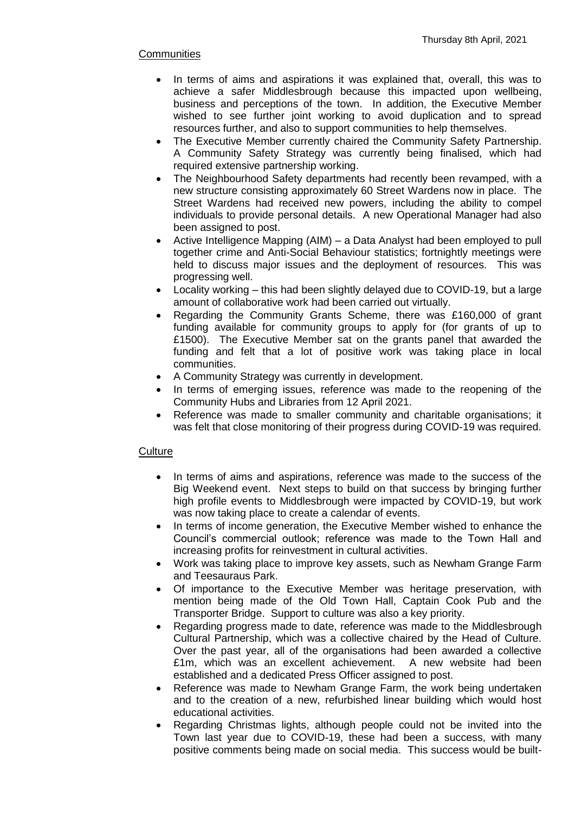## **Communities**

- In terms of aims and aspirations it was explained that, overall, this was to achieve a safer Middlesbrough because this impacted upon wellbeing, business and perceptions of the town. In addition, the Executive Member wished to see further joint working to avoid duplication and to spread resources further, and also to support communities to help themselves.
- The Executive Member currently chaired the Community Safety Partnership. A Community Safety Strategy was currently being finalised, which had required extensive partnership working.
- The Neighbourhood Safety departments had recently been revamped, with a new structure consisting approximately 60 Street Wardens now in place. The Street Wardens had received new powers, including the ability to compel individuals to provide personal details. A new Operational Manager had also been assigned to post.
- Active Intelligence Mapping (AIM) a Data Analyst had been employed to pull together crime and Anti-Social Behaviour statistics; fortnightly meetings were held to discuss major issues and the deployment of resources. This was progressing well.
- Locality working this had been slightly delayed due to COVID-19, but a large amount of collaborative work had been carried out virtually.
- Regarding the Community Grants Scheme, there was £160,000 of grant funding available for community groups to apply for (for grants of up to £1500). The Executive Member sat on the grants panel that awarded the funding and felt that a lot of positive work was taking place in local communities.
- A Community Strategy was currently in development.
- In terms of emerging issues, reference was made to the reopening of the Community Hubs and Libraries from 12 April 2021.
- Reference was made to smaller community and charitable organisations; it was felt that close monitoring of their progress during COVID-19 was required.

## **Culture**

- In terms of aims and aspirations, reference was made to the success of the Big Weekend event. Next steps to build on that success by bringing further high profile events to Middlesbrough were impacted by COVID-19, but work was now taking place to create a calendar of events.
- In terms of income generation, the Executive Member wished to enhance the Council's commercial outlook; reference was made to the Town Hall and increasing profits for reinvestment in cultural activities.
- Work was taking place to improve key assets, such as Newham Grange Farm and Teesauraus Park.
- Of importance to the Executive Member was heritage preservation, with mention being made of the Old Town Hall, Captain Cook Pub and the Transporter Bridge. Support to culture was also a key priority.
- Regarding progress made to date, reference was made to the Middlesbrough Cultural Partnership, which was a collective chaired by the Head of Culture. Over the past year, all of the organisations had been awarded a collective £1m, which was an excellent achievement. A new website had been established and a dedicated Press Officer assigned to post.
- Reference was made to Newham Grange Farm, the work being undertaken and to the creation of a new, refurbished linear building which would host educational activities.
- Regarding Christmas lights, although people could not be invited into the Town last year due to COVID-19, these had been a success, with many positive comments being made on social media. This success would be built-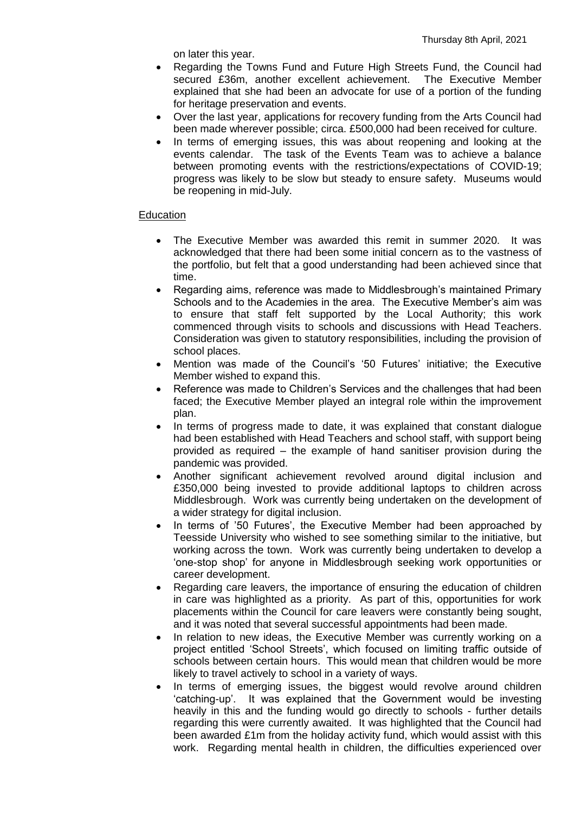on later this year.

- Regarding the Towns Fund and Future High Streets Fund, the Council had secured £36m, another excellent achievement. The Executive Member explained that she had been an advocate for use of a portion of the funding for heritage preservation and events.
- Over the last year, applications for recovery funding from the Arts Council had been made wherever possible; circa. £500,000 had been received for culture.
- In terms of emerging issues, this was about reopening and looking at the events calendar. The task of the Events Team was to achieve a balance between promoting events with the restrictions/expectations of COVID-19; progress was likely to be slow but steady to ensure safety. Museums would be reopening in mid-July.

### **Education**

- The Executive Member was awarded this remit in summer 2020. It was acknowledged that there had been some initial concern as to the vastness of the portfolio, but felt that a good understanding had been achieved since that time.
- Regarding aims, reference was made to Middlesbrough's maintained Primary Schools and to the Academies in the area. The Executive Member's aim was to ensure that staff felt supported by the Local Authority; this work commenced through visits to schools and discussions with Head Teachers. Consideration was given to statutory responsibilities, including the provision of school places.
- Mention was made of the Council's '50 Futures' initiative; the Executive Member wished to expand this.
- Reference was made to Children's Services and the challenges that had been faced; the Executive Member played an integral role within the improvement plan.
- In terms of progress made to date, it was explained that constant dialogue had been established with Head Teachers and school staff, with support being provided as required – the example of hand sanitiser provision during the pandemic was provided.
- Another significant achievement revolved around digital inclusion and £350,000 being invested to provide additional laptops to children across Middlesbrough. Work was currently being undertaken on the development of a wider strategy for digital inclusion.
- In terms of '50 Futures', the Executive Member had been approached by Teesside University who wished to see something similar to the initiative, but working across the town. Work was currently being undertaken to develop a 'one-stop shop' for anyone in Middlesbrough seeking work opportunities or career development.
- Regarding care leavers, the importance of ensuring the education of children in care was highlighted as a priority. As part of this, opportunities for work placements within the Council for care leavers were constantly being sought, and it was noted that several successful appointments had been made.
- In relation to new ideas, the Executive Member was currently working on a project entitled 'School Streets', which focused on limiting traffic outside of schools between certain hours. This would mean that children would be more likely to travel actively to school in a variety of ways.
- In terms of emerging issues, the biggest would revolve around children 'catching-up'. It was explained that the Government would be investing heavily in this and the funding would go directly to schools - further details regarding this were currently awaited. It was highlighted that the Council had been awarded £1m from the holiday activity fund, which would assist with this work. Regarding mental health in children, the difficulties experienced over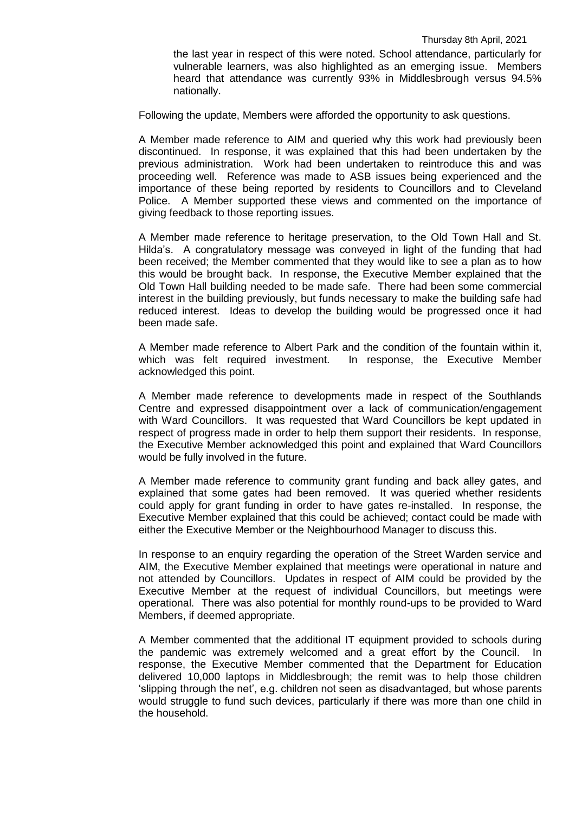the last year in respect of this were noted. School attendance, particularly for vulnerable learners, was also highlighted as an emerging issue. Members heard that attendance was currently 93% in Middlesbrough versus 94.5% nationally.

Following the update, Members were afforded the opportunity to ask questions.

A Member made reference to AIM and queried why this work had previously been discontinued. In response, it was explained that this had been undertaken by the previous administration. Work had been undertaken to reintroduce this and was proceeding well. Reference was made to ASB issues being experienced and the importance of these being reported by residents to Councillors and to Cleveland Police. A Member supported these views and commented on the importance of giving feedback to those reporting issues.

A Member made reference to heritage preservation, to the Old Town Hall and St. Hilda's. A congratulatory message was conveyed in light of the funding that had been received; the Member commented that they would like to see a plan as to how this would be brought back. In response, the Executive Member explained that the Old Town Hall building needed to be made safe. There had been some commercial interest in the building previously, but funds necessary to make the building safe had reduced interest. Ideas to develop the building would be progressed once it had been made safe.

A Member made reference to Albert Park and the condition of the fountain within it, which was felt required investment. In response, the Executive Member acknowledged this point.

A Member made reference to developments made in respect of the Southlands Centre and expressed disappointment over a lack of communication/engagement with Ward Councillors. It was requested that Ward Councillors be kept updated in respect of progress made in order to help them support their residents. In response, the Executive Member acknowledged this point and explained that Ward Councillors would be fully involved in the future.

A Member made reference to community grant funding and back alley gates, and explained that some gates had been removed. It was queried whether residents could apply for grant funding in order to have gates re-installed. In response, the Executive Member explained that this could be achieved; contact could be made with either the Executive Member or the Neighbourhood Manager to discuss this.

In response to an enquiry regarding the operation of the Street Warden service and AIM, the Executive Member explained that meetings were operational in nature and not attended by Councillors. Updates in respect of AIM could be provided by the Executive Member at the request of individual Councillors, but meetings were operational. There was also potential for monthly round-ups to be provided to Ward Members, if deemed appropriate.

A Member commented that the additional IT equipment provided to schools during the pandemic was extremely welcomed and a great effort by the Council. In response, the Executive Member commented that the Department for Education delivered 10,000 laptops in Middlesbrough; the remit was to help those children 'slipping through the net', e.g. children not seen as disadvantaged, but whose parents would struggle to fund such devices, particularly if there was more than one child in the household.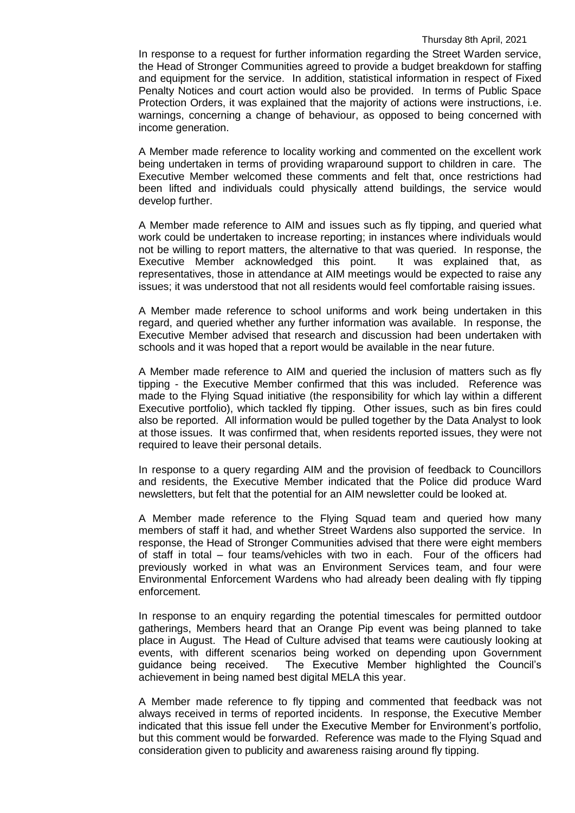In response to a request for further information regarding the Street Warden service, the Head of Stronger Communities agreed to provide a budget breakdown for staffing and equipment for the service. In addition, statistical information in respect of Fixed Penalty Notices and court action would also be provided. In terms of Public Space Protection Orders, it was explained that the majority of actions were instructions, i.e. warnings, concerning a change of behaviour, as opposed to being concerned with income generation.

A Member made reference to locality working and commented on the excellent work being undertaken in terms of providing wraparound support to children in care. The Executive Member welcomed these comments and felt that, once restrictions had been lifted and individuals could physically attend buildings, the service would develop further.

A Member made reference to AIM and issues such as fly tipping, and queried what work could be undertaken to increase reporting; in instances where individuals would not be willing to report matters, the alternative to that was queried. In response, the Executive Member acknowledged this point. It was explained that, as representatives, those in attendance at AIM meetings would be expected to raise any issues; it was understood that not all residents would feel comfortable raising issues.

A Member made reference to school uniforms and work being undertaken in this regard, and queried whether any further information was available. In response, the Executive Member advised that research and discussion had been undertaken with schools and it was hoped that a report would be available in the near future.

A Member made reference to AIM and queried the inclusion of matters such as fly tipping - the Executive Member confirmed that this was included. Reference was made to the Flying Squad initiative (the responsibility for which lay within a different Executive portfolio), which tackled fly tipping. Other issues, such as bin fires could also be reported. All information would be pulled together by the Data Analyst to look at those issues. It was confirmed that, when residents reported issues, they were not required to leave their personal details.

In response to a query regarding AIM and the provision of feedback to Councillors and residents, the Executive Member indicated that the Police did produce Ward newsletters, but felt that the potential for an AIM newsletter could be looked at.

A Member made reference to the Flying Squad team and queried how many members of staff it had, and whether Street Wardens also supported the service. In response, the Head of Stronger Communities advised that there were eight members of staff in total – four teams/vehicles with two in each. Four of the officers had previously worked in what was an Environment Services team, and four were Environmental Enforcement Wardens who had already been dealing with fly tipping enforcement.

In response to an enquiry regarding the potential timescales for permitted outdoor gatherings, Members heard that an Orange Pip event was being planned to take place in August. The Head of Culture advised that teams were cautiously looking at events, with different scenarios being worked on depending upon Government guidance being received. The Executive Member highlighted the Council's achievement in being named best digital MELA this year.

A Member made reference to fly tipping and commented that feedback was not always received in terms of reported incidents. In response, the Executive Member indicated that this issue fell under the Executive Member for Environment's portfolio, but this comment would be forwarded. Reference was made to the Flying Squad and consideration given to publicity and awareness raising around fly tipping.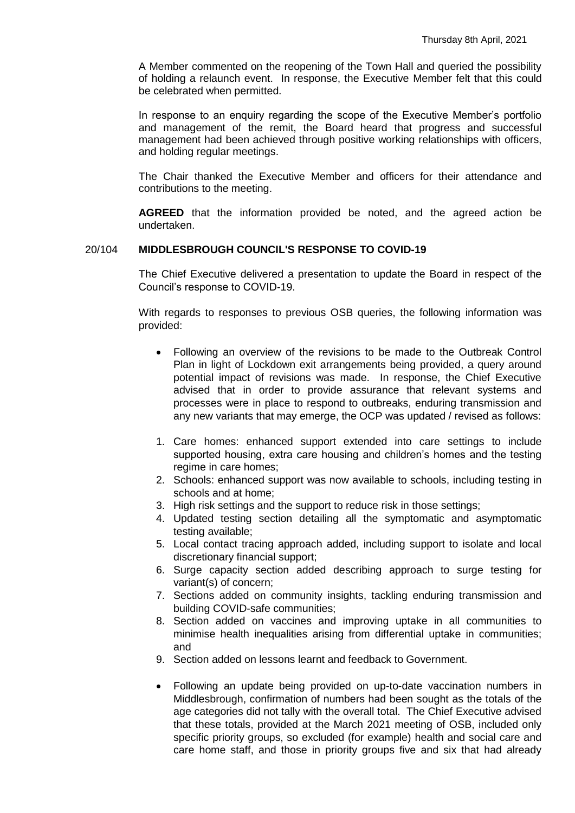A Member commented on the reopening of the Town Hall and queried the possibility of holding a relaunch event. In response, the Executive Member felt that this could be celebrated when permitted.

In response to an enquiry regarding the scope of the Executive Member's portfolio and management of the remit, the Board heard that progress and successful management had been achieved through positive working relationships with officers, and holding regular meetings.

The Chair thanked the Executive Member and officers for their attendance and contributions to the meeting.

**AGREED** that the information provided be noted, and the agreed action be undertaken.

#### 20/104 **MIDDLESBROUGH COUNCIL'S RESPONSE TO COVID-19**

The Chief Executive delivered a presentation to update the Board in respect of the Council's response to COVID-19.

With regards to responses to previous OSB queries, the following information was provided:

- Following an overview of the revisions to be made to the Outbreak Control Plan in light of Lockdown exit arrangements being provided, a query around potential impact of revisions was made. In response, the Chief Executive advised that in order to provide assurance that relevant systems and processes were in place to respond to outbreaks, enduring transmission and any new variants that may emerge, the OCP was updated / revised as follows:
- 1. Care homes: enhanced support extended into care settings to include supported housing, extra care housing and children's homes and the testing regime in care homes;
- 2. Schools: enhanced support was now available to schools, including testing in schools and at home;
- 3. High risk settings and the support to reduce risk in those settings;
- 4. Updated testing section detailing all the symptomatic and asymptomatic testing available;
- 5. Local contact tracing approach added, including support to isolate and local discretionary financial support;
- 6. Surge capacity section added describing approach to surge testing for variant(s) of concern;
- 7. Sections added on community insights, tackling enduring transmission and building COVID-safe communities;
- 8. Section added on vaccines and improving uptake in all communities to minimise health inequalities arising from differential uptake in communities; and
- 9. Section added on lessons learnt and feedback to Government.
- Following an update being provided on up-to-date vaccination numbers in Middlesbrough, confirmation of numbers had been sought as the totals of the age categories did not tally with the overall total. The Chief Executive advised that these totals, provided at the March 2021 meeting of OSB, included only specific priority groups, so excluded (for example) health and social care and care home staff, and those in priority groups five and six that had already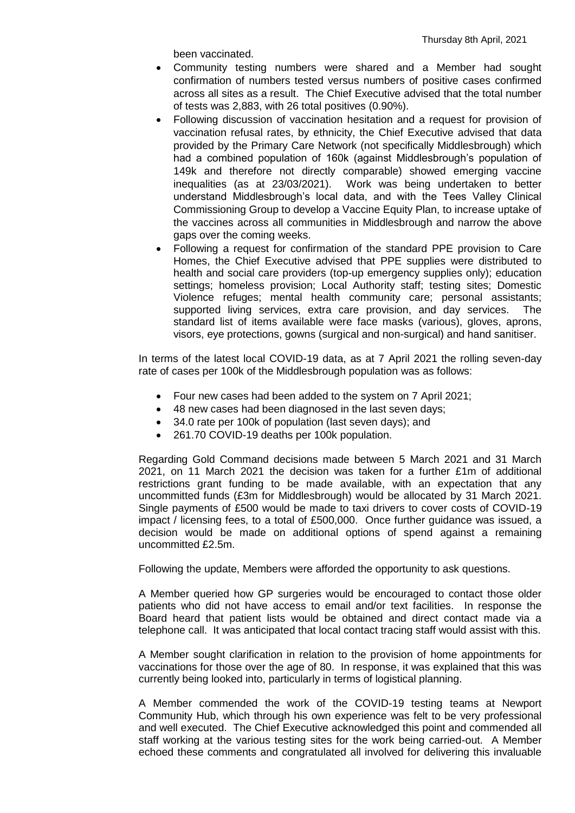been vaccinated.

- Community testing numbers were shared and a Member had sought confirmation of numbers tested versus numbers of positive cases confirmed across all sites as a result. The Chief Executive advised that the total number of tests was 2,883, with 26 total positives (0.90%).
- Following discussion of vaccination hesitation and a request for provision of vaccination refusal rates, by ethnicity, the Chief Executive advised that data provided by the Primary Care Network (not specifically Middlesbrough) which had a combined population of 160k (against Middlesbrough's population of 149k and therefore not directly comparable) showed emerging vaccine inequalities (as at 23/03/2021). Work was being undertaken to better understand Middlesbrough's local data, and with the Tees Valley Clinical Commissioning Group to develop a Vaccine Equity Plan, to increase uptake of the vaccines across all communities in Middlesbrough and narrow the above gaps over the coming weeks.
- Following a request for confirmation of the standard PPE provision to Care Homes, the Chief Executive advised that PPE supplies were distributed to health and social care providers (top-up emergency supplies only); education settings; homeless provision; Local Authority staff; testing sites; Domestic Violence refuges; mental health community care; personal assistants; supported living services, extra care provision, and day services. The standard list of items available were face masks (various), gloves, aprons, visors, eye protections, gowns (surgical and non-surgical) and hand sanitiser.

In terms of the latest local COVID-19 data, as at 7 April 2021 the rolling seven-day rate of cases per 100k of the Middlesbrough population was as follows:

- Four new cases had been added to the system on 7 April 2021;
- 48 new cases had been diagnosed in the last seven days;
- 34.0 rate per 100k of population (last seven days); and
- 261.70 COVID-19 deaths per 100k population.

Regarding Gold Command decisions made between 5 March 2021 and 31 March 2021, on 11 March 2021 the decision was taken for a further £1m of additional restrictions grant funding to be made available, with an expectation that any uncommitted funds (£3m for Middlesbrough) would be allocated by 31 March 2021. Single payments of £500 would be made to taxi drivers to cover costs of COVID-19 impact / licensing fees, to a total of £500,000. Once further guidance was issued, a decision would be made on additional options of spend against a remaining uncommitted £2.5m.

Following the update, Members were afforded the opportunity to ask questions.

A Member queried how GP surgeries would be encouraged to contact those older patients who did not have access to email and/or text facilities. In response the Board heard that patient lists would be obtained and direct contact made via a telephone call. It was anticipated that local contact tracing staff would assist with this.

A Member sought clarification in relation to the provision of home appointments for vaccinations for those over the age of 80. In response, it was explained that this was currently being looked into, particularly in terms of logistical planning.

A Member commended the work of the COVID-19 testing teams at Newport Community Hub, which through his own experience was felt to be very professional and well executed. The Chief Executive acknowledged this point and commended all staff working at the various testing sites for the work being carried-out. A Member echoed these comments and congratulated all involved for delivering this invaluable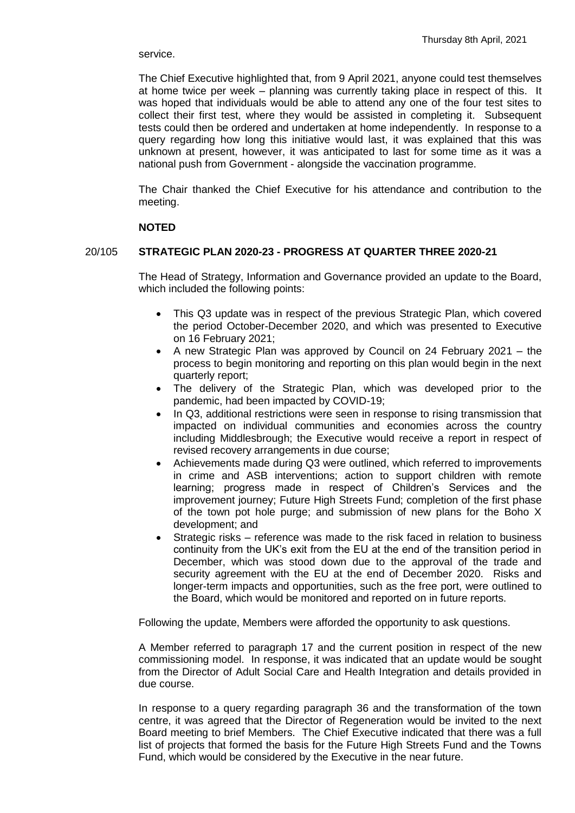#### service.

The Chief Executive highlighted that, from 9 April 2021, anyone could test themselves at home twice per week – planning was currently taking place in respect of this. It was hoped that individuals would be able to attend any one of the four test sites to collect their first test, where they would be assisted in completing it. Subsequent tests could then be ordered and undertaken at home independently. In response to a query regarding how long this initiative would last, it was explained that this was unknown at present, however, it was anticipated to last for some time as it was a national push from Government - alongside the vaccination programme.

The Chair thanked the Chief Executive for his attendance and contribution to the meeting.

#### **NOTED**

#### 20/105 **STRATEGIC PLAN 2020-23 - PROGRESS AT QUARTER THREE 2020-21**

The Head of Strategy, Information and Governance provided an update to the Board, which included the following points:

- This Q3 update was in respect of the previous Strategic Plan, which covered the period October-December 2020, and which was presented to Executive on 16 February 2021;
- A new Strategic Plan was approved by Council on 24 February 2021 the process to begin monitoring and reporting on this plan would begin in the next quarterly report;
- The delivery of the Strategic Plan, which was developed prior to the pandemic, had been impacted by COVID-19;
- In Q3, additional restrictions were seen in response to rising transmission that impacted on individual communities and economies across the country including Middlesbrough; the Executive would receive a report in respect of revised recovery arrangements in due course;
- Achievements made during Q3 were outlined, which referred to improvements in crime and ASB interventions; action to support children with remote learning; progress made in respect of Children's Services and the improvement journey; Future High Streets Fund; completion of the first phase of the town pot hole purge; and submission of new plans for the Boho X development; and
- Strategic risks reference was made to the risk faced in relation to business continuity from the UK's exit from the EU at the end of the transition period in December, which was stood down due to the approval of the trade and security agreement with the EU at the end of December 2020. Risks and longer-term impacts and opportunities, such as the free port, were outlined to the Board, which would be monitored and reported on in future reports.

Following the update, Members were afforded the opportunity to ask questions.

A Member referred to paragraph 17 and the current position in respect of the new commissioning model. In response, it was indicated that an update would be sought from the Director of Adult Social Care and Health Integration and details provided in due course.

In response to a query regarding paragraph 36 and the transformation of the town centre, it was agreed that the Director of Regeneration would be invited to the next Board meeting to brief Members. The Chief Executive indicated that there was a full list of projects that formed the basis for the Future High Streets Fund and the Towns Fund, which would be considered by the Executive in the near future.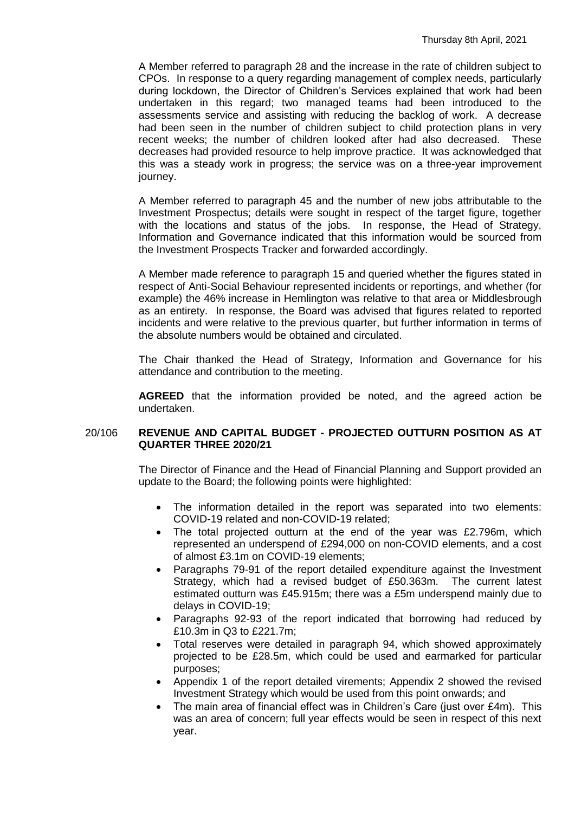A Member referred to paragraph 28 and the increase in the rate of children subject to CPOs. In response to a query regarding management of complex needs, particularly during lockdown, the Director of Children's Services explained that work had been undertaken in this regard; two managed teams had been introduced to the assessments service and assisting with reducing the backlog of work. A decrease had been seen in the number of children subject to child protection plans in very recent weeks; the number of children looked after had also decreased. These decreases had provided resource to help improve practice. It was acknowledged that this was a steady work in progress; the service was on a three-year improvement journey.

A Member referred to paragraph 45 and the number of new jobs attributable to the Investment Prospectus; details were sought in respect of the target figure, together with the locations and status of the jobs. In response, the Head of Strategy, Information and Governance indicated that this information would be sourced from the Investment Prospects Tracker and forwarded accordingly.

A Member made reference to paragraph 15 and queried whether the figures stated in respect of Anti-Social Behaviour represented incidents or reportings, and whether (for example) the 46% increase in Hemlington was relative to that area or Middlesbrough as an entirety. In response, the Board was advised that figures related to reported incidents and were relative to the previous quarter, but further information in terms of the absolute numbers would be obtained and circulated.

The Chair thanked the Head of Strategy, Information and Governance for his attendance and contribution to the meeting.

**AGREED** that the information provided be noted, and the agreed action be undertaken.

### 20/106 **REVENUE AND CAPITAL BUDGET - PROJECTED OUTTURN POSITION AS AT QUARTER THREE 2020/21**

The Director of Finance and the Head of Financial Planning and Support provided an update to the Board; the following points were highlighted:

- The information detailed in the report was separated into two elements: COVID-19 related and non-COVID-19 related;
- The total projected outturn at the end of the year was £2.796m, which represented an underspend of £294,000 on non-COVID elements, and a cost of almost £3.1m on COVID-19 elements;
- Paragraphs 79-91 of the report detailed expenditure against the Investment Strategy, which had a revised budget of £50.363m. The current latest estimated outturn was £45.915m; there was a £5m underspend mainly due to delays in COVID-19;
- Paragraphs 92-93 of the report indicated that borrowing had reduced by £10.3m in Q3 to £221.7m;
- Total reserves were detailed in paragraph 94, which showed approximately projected to be £28.5m, which could be used and earmarked for particular purposes;
- Appendix 1 of the report detailed virements; Appendix 2 showed the revised Investment Strategy which would be used from this point onwards; and
- The main area of financial effect was in Children's Care (just over £4m). This was an area of concern; full year effects would be seen in respect of this next year.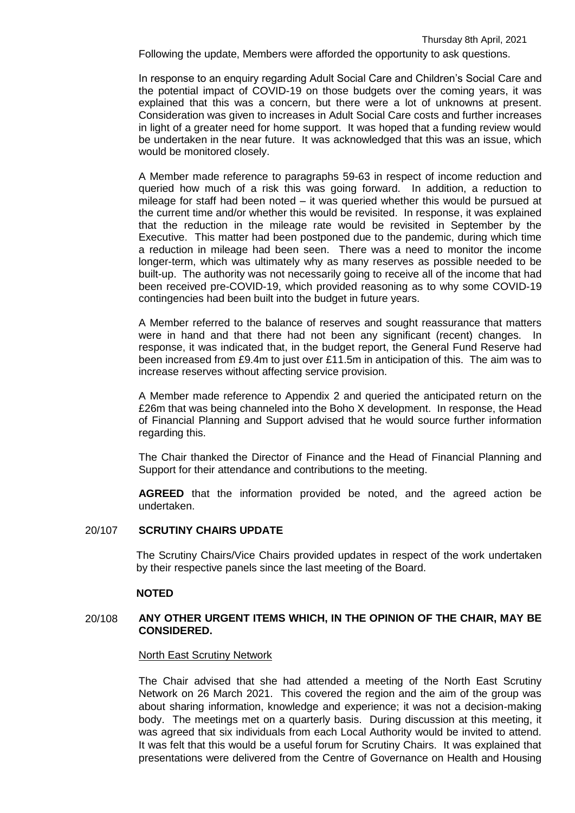Following the update, Members were afforded the opportunity to ask questions.

In response to an enquiry regarding Adult Social Care and Children's Social Care and the potential impact of COVID-19 on those budgets over the coming years, it was explained that this was a concern, but there were a lot of unknowns at present. Consideration was given to increases in Adult Social Care costs and further increases in light of a greater need for home support. It was hoped that a funding review would be undertaken in the near future. It was acknowledged that this was an issue, which would be monitored closely.

A Member made reference to paragraphs 59-63 in respect of income reduction and queried how much of a risk this was going forward. In addition, a reduction to mileage for staff had been noted – it was queried whether this would be pursued at the current time and/or whether this would be revisited. In response, it was explained that the reduction in the mileage rate would be revisited in September by the Executive. This matter had been postponed due to the pandemic, during which time a reduction in mileage had been seen. There was a need to monitor the income longer-term, which was ultimately why as many reserves as possible needed to be built-up. The authority was not necessarily going to receive all of the income that had been received pre-COVID-19, which provided reasoning as to why some COVID-19 contingencies had been built into the budget in future years.

A Member referred to the balance of reserves and sought reassurance that matters were in hand and that there had not been any significant (recent) changes. In response, it was indicated that, in the budget report, the General Fund Reserve had been increased from £9.4m to just over £11.5m in anticipation of this. The aim was to increase reserves without affecting service provision.

A Member made reference to Appendix 2 and queried the anticipated return on the £26m that was being channeled into the Boho X development. In response, the Head of Financial Planning and Support advised that he would source further information regarding this.

The Chair thanked the Director of Finance and the Head of Financial Planning and Support for their attendance and contributions to the meeting.

**AGREED** that the information provided be noted, and the agreed action be undertaken.

#### 20/107 **SCRUTINY CHAIRS UPDATE**

The Scrutiny Chairs/Vice Chairs provided updates in respect of the work undertaken by their respective panels since the last meeting of the Board.

#### **NOTED**

### 20/108 **ANY OTHER URGENT ITEMS WHICH, IN THE OPINION OF THE CHAIR, MAY BE CONSIDERED.**

#### North East Scrutiny Network

The Chair advised that she had attended a meeting of the North East Scrutiny Network on 26 March 2021. This covered the region and the aim of the group was about sharing information, knowledge and experience; it was not a decision-making body. The meetings met on a quarterly basis. During discussion at this meeting, it was agreed that six individuals from each Local Authority would be invited to attend. It was felt that this would be a useful forum for Scrutiny Chairs. It was explained that presentations were delivered from the Centre of Governance on Health and Housing